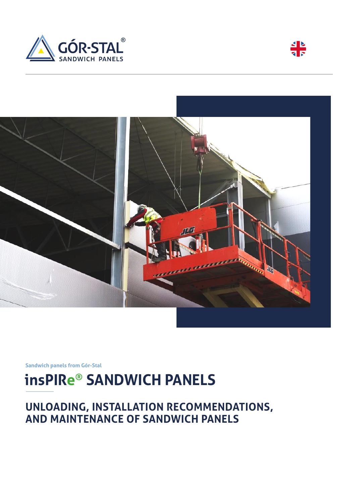





**Sandwich panels from Gór-Stal**

# **insPIRe® SANDWICH PANELS**

## **UNLOADING, INSTALLATION RECOMMENDATIONS, AND MAINTENANCE OF SANDWICH PANELS**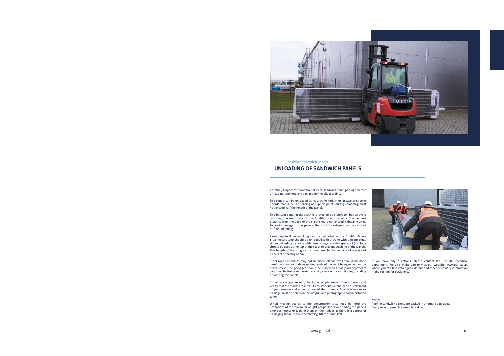www.gor-stal.pl 01



## **UNLOADING OF SANDWICH PANELS**



**insPIRe® sandwich panels**

Carefully inspect the condition of each sandwich panel package before unloading, and note any damage on the bill of lading.

The bottom panel in the stack is protected by styrofoam, but to avoid crushing, the load forks of the forklift should be wide. The support distance from the edge of the stack should not exceed 3 linear metres. To avoid damage to the panels, the forklift carriage must be secured before unloading.

The panels can be unloaded using a crane, forklift or, in case of shorter boards, manually. The spacing of support points during unloading must not exceed half the length of the panel.

Panels up to 8 meters long can be unloaded with a forklift. Panels 8-16 meters long should be unloaded with a crane with a beam sling. When unloading by crane with linear slings, wooden spacers 1.3 m long should be used at the top of the stack to prevent crushing of the panels. The length of the sling's strut must enable the hooking of a stack of panels at a spacing of 3m.

Steel ropes or chains may not be used. Manoeuvres should be done carefully so as not to damage the panels of the stack being moved or the other stacks. The packages should be placed on a flat (each Styrofoam pad must be firmly supported) and dry surface to avoid tipping, bending or wetting the panels.

Immediately upon receipt, check the completeness of the shipment and verify that the stacks are intact. Each stack has a label with a statement of performance and a description of the contents. Any deficiencies or damage must be noted on the waybill and photographic documentation taken.

When moving boards to the construction site, keep in mind the limitations of the maximum weight per person. Avoid sliding the panels over each other or leaning them on their edges as there is a danger of damaging them. To avoid scratching, lift the panel first.

If you have any questions, please contact the Gór-Stal technical department. We also invite you to visit our website: www.gór-stal.pl where you can find catalogues, details and other necessary information in the section for designers.

**Notice:**

Roofing sandwich panels are packed in alternate packages. Every second panel is turned face down.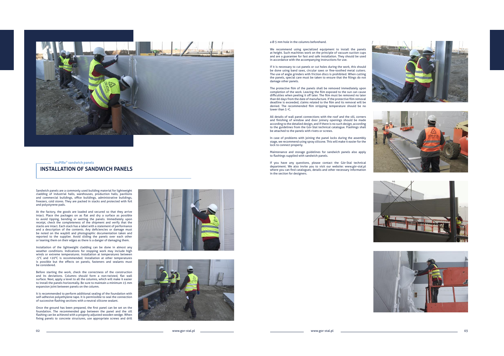02 www.gor-stal.pl www.gor-stal.pl 03









We recommend using specialized equipment to install the panels at height. Such machines work on the principle of vacuum suction cups and are a guarantee for fast and safe installation. They should be used in accordance with the accompanying instructions for use.

#### a Ø 5 mm hole in the columns beforehand.

The protective film of the panels shall be removed immediately upon completion of the work. Leaving the film exposed to the sun can cause difficulties when peeling it off later. The film must be removed no later than 60 days from the date of manufacture. If the protective film removal deadline is exceeded, claims related to the film and its removal will be denied. The recommended film stripping temperature should be no lower than 5 °C.

If it is necessary to cut panels or cut holes during the work, this should be done using band saws, circular saws or fine-toothed metal cutters. The use of angle grinders with friction discs is prohibited. When cutting the use of angle grinders with metion dises is promoted. When eduling<br>the panels, special care must be taken to ensure that the filings do not damage other panels.

All details of wall panel connections with the roof and the sill, corners and finishing of window and door joinery openings should be made according to the detailed design, and if there is no such design, according to the guidelines from the Gór-Stal technical catalogue. Flashings shall be attached to the panels with rivets or screws.

In case of problems with joining the panel locks during the assembly stage, we recommend using spray silicone. This will make it easier for the lock to connect properly.

Maintenance and storage guidelines for sandwich panels also apply to flashings supplied with sandwich panels.

If you have any questions, please contact the Gór-Stal technical department. We also invite you to visit our website: www.gór-stal.pl where you can find catalogues, details and other necessary information in the section for designers.



### **INSTALLATION OF SANDWICH PANELS**



#### **insPIRe ® sandwich panels**

Sandwich panels are a commonly used building material for lightweight cladding of industrial halls, warehouses, production halls, pavilions and commercial buildings, office buildings, administrative buildings, freezers, cold stores. They are packed in stacks and protected with foil and polystyrene pads.

At the factory, the goods are loaded and secured so that they arrive intact. Place the packages on as flat and dry a surface as possible to avoid tipping, bending or wetting the panels. Immediately upon receipt, check the completeness of the shipment and verify that the stacks are intact. Each stack has a label with a statement of performance and a description of the contents. Any deficiencies or damage must be noted on the waybill and photographic documentation taken and reported to the supplier. Avoid sliding the panels over each other or leaning them on their edges as there is a danger of damaging them.

Installation of the lightweight cladding can be done in almost any weather conditions. Indications for stopping work may include high winds or extreme temperatures. Installation at temperatures between -5°C and +20°C is recommended. Installation at other temperatures is possible but the effects on panels, fasteners and sealants must be considered.

Before starting the work, check the correctness of the construction and its deviations. Columns should form a non-twisted, flat wall surface. Next, apply a level to all the columns, which will make it easier to install the panels horizontally. Be sure to maintain a minimum 15 mm expansion joint between panels on the column.

It is recommended to perform additional sealing of the foundation with self-adhesive polyethylene tape. It is permissible to seal the connection of successive flashing sections with a neutral silicone sealant.

Once the ground has been prepared, the first panel can be set on the foundation. The recommended gap between the panel and the sill flashing can be achieved with a properly adjusted wooden wedge. When fixing panels to concrete structures, use appropriate screws and drill



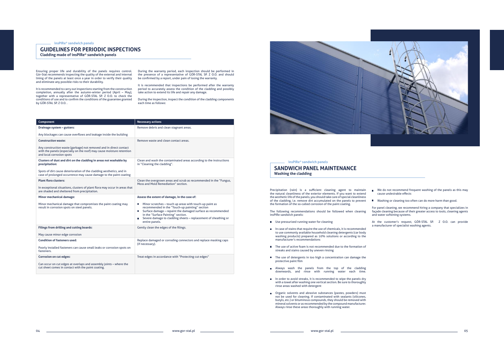## **GUIDELINES FOR PERIODIC INSPECTIONS**

**Cladding made of insPIRe® sandwich panels**

### **SANDWICH PANEL MAINTENANCE Washing the cladding**

**insPIRe® sandwich panels**

#### **insPIRe® sandwich panels**

Ensuring proper life and durability of the panels requires control. Gór-Stal recommends inspecting the quality of the external and internal lining of the panels at least once a year in order to verify their quality and eliminate any possible risks to their durability.

It is recommended to carry out inspections starting from the construction completion, annually after the autumn-winter period (April – May), together with a representative of GÓR-STAL SP. Z O.O. to check the conditions of use and to confirm the conditions of the guarantee granted by GÓR-STAL SP. Z O.O. .

During the warranty period, each inspection should be performed in the presence of a representative of GÓR-STAL SP. Z O.O. and should be confirmed by a report, under pain of losing the warranty.

It is recommended that inspections be performed after the warranty period to accurately assess the condition of the cladding and possibly take action to extend its life and repair any damage.

During the inspection, inspect the condition of the cladding components each time as follows:

| Component                                                                                                                                                                                                                          | <b>Necessary actions</b>                                                                                                                                                                                                                                                                                        |
|------------------------------------------------------------------------------------------------------------------------------------------------------------------------------------------------------------------------------------|-----------------------------------------------------------------------------------------------------------------------------------------------------------------------------------------------------------------------------------------------------------------------------------------------------------------|
| Drainage system - gutters:                                                                                                                                                                                                         | Remove debris and clean stagnant areas.                                                                                                                                                                                                                                                                         |
| Any blockages can cause overflows and leakage inside the building                                                                                                                                                                  |                                                                                                                                                                                                                                                                                                                 |
| <b>Construction waste:</b>                                                                                                                                                                                                         | Remove waste and clean contact areas.                                                                                                                                                                                                                                                                           |
| Any construction waste (garbage) not removed and in direct contact<br>with the panels (especially on the roof) may cause moisture retention<br>and local corrosion spots                                                           |                                                                                                                                                                                                                                                                                                                 |
| Clusters of dust and dirt on the cladding in areas not washable by<br>precipitation:<br>Spots of dirt cause deterioration of the cladding aesthetics, and in<br>case of prolonged occurrence may cause damage to the paint coating | Clean and wash the contaminated areas according to the instructions<br>in "Cleaning the cladding".                                                                                                                                                                                                              |
| <b>Plant flora clusters:</b>                                                                                                                                                                                                       | Clean the overgrown areas and scrub as recommended in the "Fungus,                                                                                                                                                                                                                                              |
| In exceptional situations, clusters of plant flora may occur in areas that<br>are shaded and sheltered from precipitation.                                                                                                         | Moss and Mold Remediation" section.                                                                                                                                                                                                                                                                             |
| Minor mechanical damage:                                                                                                                                                                                                           | Assess the extent of damage, in the case of:                                                                                                                                                                                                                                                                    |
| Minor mechanical damage that compromises the paint coating may<br>result in corrosion spots on steel panels.                                                                                                                       | Minor scratches - touch up areas with touch-up paint as<br>recommended in the "Touch-up painting" section<br>Surface damage - repaint the damaged surface as recommended<br><b>II</b><br>in the "Surface Painting" section.<br>Severe damage to cladding sheets - replacement of sheathing or<br>entire panels. |
| Filings from drilling and cutting boards:                                                                                                                                                                                          | Gently clean the edges of the filings.                                                                                                                                                                                                                                                                          |
| May cause minor edge corrosion                                                                                                                                                                                                     |                                                                                                                                                                                                                                                                                                                 |
| <b>Condition of fasteners used:</b>                                                                                                                                                                                                | Replace damaged or corroding connectors and replace masking caps<br>(if necessary).                                                                                                                                                                                                                             |
| Poorly installed fasteners can cause small leaks or corrosion spots on<br>fasteners.                                                                                                                                               |                                                                                                                                                                                                                                                                                                                 |
| <b>Corrosion on cut edges:</b>                                                                                                                                                                                                     | Treat edges in accordance with "Protecting cut edges"                                                                                                                                                                                                                                                           |
| Can occur on cut edges at overlaps and assembly joints - where the<br>cut sheet comes in contact with the paint coating.                                                                                                           |                                                                                                                                                                                                                                                                                                                 |



- Use pressurized running water for cleaning
- $\blacksquare$  In case of stains that require the use of chemicals, it is recommended to use commonly available household cleaning detergents (car body washing products) prepared as 10% solutions or according to the manufacturer's recommendations
- The use of active foam is not recommended due to the formation of streaks and stains caused by uneven rinsing
- The use of detergents in too high a concentration can damage the protective paint film
- **Number** Always wash the panels from the top of the cladding downwards, and rinse with running water each time.
- In order to avoid streaks, it is recommended to wipe the panels dry with a towel after washing one vertical section. Be sure to thoroughly rinse areas washed with detergent
- **n** Organic solvents and abrasive substances (pastes, powders) must not be used for cleaning. If contaminated with sealants (silicones, butyls, etc.) or bituminous compounds, they should be removed with mineral solvents or as recommended by the compound manufacturer. Always rinse these areas thoroughly with running water.

 $\blacksquare$  We do not recommend frequent washing of the panels as this may cause undesirable effects

Washing or cleaning too often can do more harm than good.

For panel cleaning, we recommend hiring a company that specializes in façade cleaning because of their greater access to tools, cleaning agents and water softening systems.

Precipitation (rain) is a sufficient cleaning agent to maintain the natural cleanliness of the exterior elements. If you want to extend the aesthetic life of the panels, you should take care of special cleanliness of the cladding, i.e. remove dirt accumulated on the panels to prevent the formation of the so-called corrosion of the paint coating.

The following recommendations should be followed when cleaning insPIRe sandwich panels:

> At the customer's request, GÓR-STAL SP. Z O.O. can provide a manufacturer of specialist washing agents.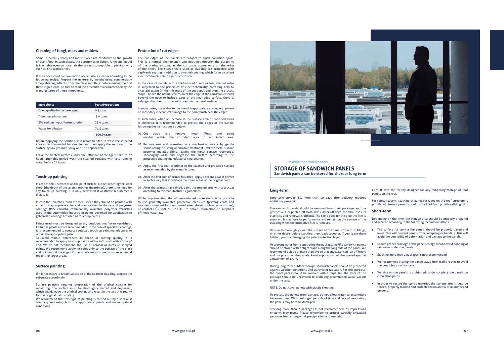#### **Protection of cut edges**

The cut edges of the panels are subject to small corrosion spots. This is a normal phenomenon and does not threaten the durability of the plating as long as the corrosion occurs only on the edge of the sheet. The steel sheets used as cladding are protected with a galvanic coating in addition to a varnish coating, which forms a surface electrochemical shield against corrosion.

In the case of panels with a thickness of 1 mm or less, the cut edge is subjected to the principles of electrochemistry, corroding only to a certain extent (in the thickness of the cut edge), and then the process stops – hence the natural corrosion of the edge. If the corrosion extends beyond the edge to include parts of the near-edge surface, there is a danger that the corrosion will spread to the panel surface.

In most cases, this is due to the use of inappropriate cutting equipment or secondary mechanical damage to the paint finish near the edges.

In such cases, when an increase in the surface area of corroded areas is observed, it is recommended to protect the edges of the panels, following the instructions as below:

If the above cited contamination occurs, use a cleaner according to the following recipe. Prepare the mixture by weight using commercially acceptable ingredients from chemical suppliers. Before mixing the first three ingredients, be sure to read the precautions recommended by the manufacturers of those ingredients.

- 01. Cut away and remove metal filings and paint residue within the corroded area to an intact area.
- 02. Remove rust and corrosion in a mechanical way by gentle sandblasting, brushing or abrasive treatment until the metal surface becomes metallic shiny, leaving the metal surface roughened. Thoroughly wash and degrease the surface according to the protective coating manufacturer's guidelines.
- 03. Apply the first coat of primer to the cleaned and prepared surface as recommended by the manufacturer.
- 04. After the first coat of primer has dried, apply a second coat of primer in such a way that it overlaps the intact areas of the original paint
- 05. After the primers have dried, paint the treated area with a topcoat according to the manufacturer's guidelines.

While implementing the aforementioned protections, it is possible to use generally available protective measures (priming coats and topcoats) intended for zinc coated steel sheets (polyester varnishes), or contact GÓR-STAL SP. Z O.O. to obtain information on suppliers of those materials.



Surface painting requires preparation of the original coating for repainting. The surface must be thoroughly matted and degreased, which will damage the original coating and result in the loss of warranty for the original paint coating.

#### **Cleaning of fungi, moss and mildew**

Some especially shady and moist places are conducive to the growth of plant flora. In such places, the occurrence of lichen, fungi and mould is inevitable even on materials that are not susceptible to plant growth, such as zinc coated sheet.

We recommend that this type of painting is carried out by a specialist company and using both the appropriate paints and under optimal conditions.

**n** The surface for storing the panels should be properly paved and level. This will prevent panels from collapsing or bending. This will avoid the possibility of deformation and damage to the panels.

**Ensure proper drainage of the panel storage area to avoid ponding of** rainwater under the panels

Before applying the solution, it is recommended to wash the infected area as recommended for cleaning and then apply the solution to the surface by low pressure spray or brush application.

> ■ We recommend storing the panels away from traffic routes to avoid the possible risk of damage.

Leave the treated surfaces under the influence of the agent for 1 to 22 hours, after this period wash the cleaned surfaces with cold running water before 24 hours.

#### **Touch-up painting**

In case of small scratches on the paint surface, but not reaching the steel sheet (the depth of the scratch reaches the primer), there is no need for any touch-up painting. It is only permitted if aesthetic requirements dictate it.

In case the scratches reach the steel sheet, they should be painted with a paint of appropriate color and composition. In the case of polyester coatings (PES varnish), commercially available polyester varnishes used in the automotive industry or paints designed for application to galvanised coatings are used as touch-up paints.

Paints used must be designed to dry outdoors, not "oven varnishes". Cellulose paints are not recommended. In the case of specialist coatings, it is recommended to contact a selected touch-up paint manufacturer to obtain the appropriate paint.

To avoid visible differences in shade or coating quality, it is recommended to apply touch-up paints with a soft brush with a "sharp" end. We do not recommend the use of aerosol or pressure sprayed paints. We recommend applying paint only to the surface of the crack and not beyond the edges. For aesthetic reasons, we do not recommend repainting larger areas.

#### **Surface painting**

If it is necessary to repaint a section of the board or cladding, prepare the substrate accordingly.

| <b>Ingredients</b>              | <b>Parts/Proportions</b> |
|---------------------------------|--------------------------|
| Good quality home detergent     | $0.5$ cz.m.              |
| Trisodium phosphate             | 3.0 cz.m.                |
| 5% sodium hypochlorite solution | 25.0 cz.m.               |
| Water for dilution              | 71.5 cz.m.               |
|                                 | 100.0 cz.m.              |

## **STORAGE OF SANDWICH PANELS**

**Sandwich panels can be stored for short or long term**

#### **insPIRe® sandwich panels**

Consult with the facility designer for any temporary storage of roof panels on the roof.

For safety reasons, stacking of panel packages on the roof structure is prohibited. Protect panels stored on the Roof from possible sliding off.

#### **Short-term**

Depending on the time, the storage area should be properly prepared and secured according to the following recommendations:

Stacking more than 2 packages is not recommended.

Walking on the panels is prohibited, so do not place the panels on circulation paths.

In order to secure the stored material, the storage area should be fenced, properly marked and protected from access of unauthorized persons.

#### **Long-term**

Long-term storage, i.e. more than 30 days after delivery, requires additional protection.

The sandwich panels should be removed from their packages and the protective film peeled off both sides. After 60 days, the film loses its elasticity and removal is difficult. The same goes for the glue the film is stuck on. It may lose its performance and remain on the surface of the cladding when the protective film is removed.

Be sure to thoroughly clean the surface of the panels from dust, filings, or other debris before stacking them back together. If you leave them behind, you risk damaging the paint protection layer.

To prevent water from penetrating the package, insPIRe sandwich panels should be stored with a slight slope along the long side of the panel. We recommend a slope of more than 3% so that any water can run off freely and not pile up on the panels. Panel supports should be spaced apart at  $\mathcal{L}_{\mathcal{A}}$ a maximum of 1.5 m.

During long-term outdoor storage, sandwich panels should be protected against weather conditions and ultraviolet radiation. For this purpose, the panel packs should be covered with a tarpaulin. The front of the package should be uncovered to drain any accumulated water vapour under the tarp.

NOTE: Do not cover panels with plastic sheeting

To protect the panels from damage, do not allow water to accumulate between them. With prolonged periods of time and lack of ventilation, the panels may become damaged.

Stacking more than 2 packages is not recommended, as impressions or dents may result. Please remember to protect partially unpacked packages from strong wind, precipitation and sunlight.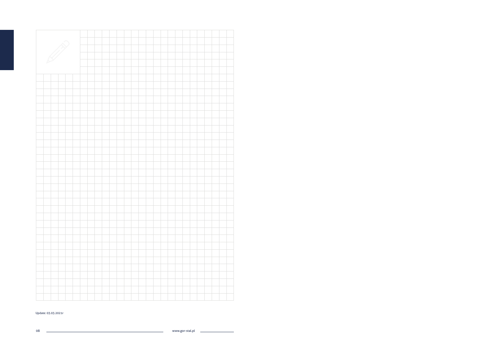08 www.gor-stal.pl

÷



Update: 03.03.2021r